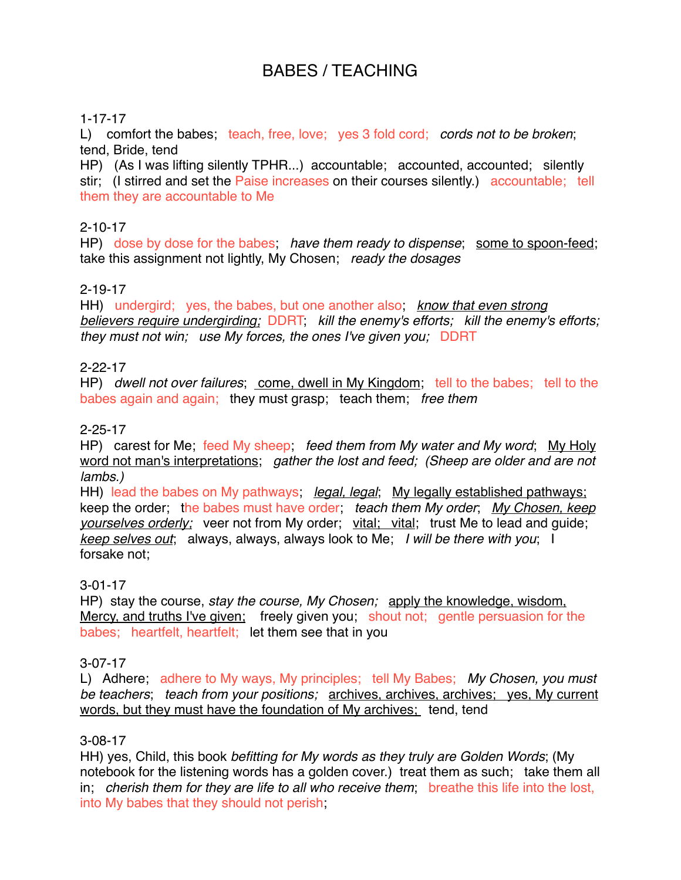# BABES / TEACHING

#### 1-17-17

L) comfort the babes; teach, free, love; yes 3 fold cord; *cords not to be broken*; tend, Bride, tend

HP) (As I was lifting silently TPHR...) accountable; accounted, accounted; silently stir; (I stirred and set the Paise increases on their courses silently.) accountable; tell them they are accountable to Me

#### 2-10-17

HP) dose by dose for the babes; *have them ready to dispense*; some to spoon-feed; take this assignment not lightly, My Chosen; *ready the dosages*

# 2-19-17

HH) undergird; yes, the babes, but one another also; *know that even strong believers require undergirding;* DDRT; *kill the enemy's efforts; kill the enemy's efforts; they must not win; use My forces, the ones I've given you;* DDRT

#### 2-22-17

HP) *dwell not over failures*; come, dwell in My Kingdom; tell to the babes; tell to the babes again and again; they must grasp; teach them; *free them*

#### 2-25-17

HP) carest for Me; feed My sheep; *feed them from My water and My word*; My Holy word not man's interpretations; *gather the lost and feed; (Sheep are older and are not lambs.)*

HH) lead the babes on My pathways; *legal, legal*; My legally established pathways; keep the order; the babes must have order; *teach them My order*; *My Chosen, keep yourselves orderly;* veer not from My order; vital; vital; trust Me to lead and guide; *keep selves out*; always, always, always look to Me; *I will be there with you*; I forsake not;

#### 3-01-17

HP) stay the course, *stay the course, My Chosen;* apply the knowledge, wisdom, Mercy, and truths I've given; freely given you; shout not; gentle persuasion for the babes; heartfelt, heartfelt; let them see that in you

#### 3-07-17

L) Adhere; adhere to My ways, My principles; tell My Babes; *My Chosen, you must be teachers*; *teach from your positions;* archives, archives, archives; yes, My current words, but they must have the foundation of My archives; tend, tend

#### 3-08-17

HH) yes, Child, this book *befitting for My words as they truly are Golden Words*; (My notebook for the listening words has a golden cover.) treat them as such; take them all in; *cherish them for they are life to all who receive them*; breathe this life into the lost, into My babes that they should not perish;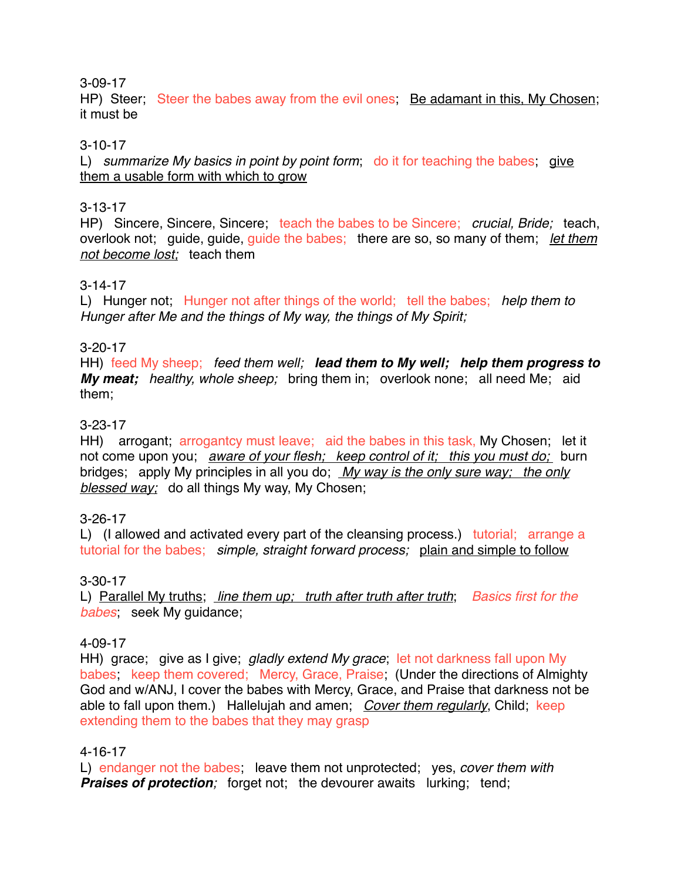#### 3-09-17

HP) Steer; Steer the babes away from the evil ones. Be adamant in this, My Chosen; it must be

#### 3-10-17

L) *summarize My basics in point by point form*; do it for teaching the babes; give them a usable form with which to grow

#### 3-13-17

HP) Sincere, Sincere, Sincere; teach the babes to be Sincere; *crucial, Bride;* teach, overlook not; guide, guide, guide the babes; there are so, so many of them; *let them not become lost;* teach them

#### 3-14-17

L) Hunger not; Hunger not after things of the world; tell the babes; *help them to Hunger after Me and the things of My way, the things of My Spirit;*

#### 3-20-17

HH) feed My sheep; *feed them well; lead them to My well; help them progress to My meat; healthy, whole sheep;* bring them in; overlook none; all need Me; aid them;

#### 3-23-17

HH) arrogant; arrogantcy must leave; aid the babes in this task, My Chosen; let it not come upon you; *aware of your flesh; keep control of it; this you must do;* burn bridges; apply My principles in all you do; *My way is the only sure way; the only blessed way;* do all things My way, My Chosen;

# 3-26-17

L) (I allowed and activated every part of the cleansing process.) tutorial; arrange a tutorial for the babes; *simple, straight forward process;* plain and simple to follow

# 3-30-17

L) Parallel My truths; *line them up; truth after truth after truth*; *Basics first for the babes*; seek My guidance;

#### 4-09-17

HH) grace; give as I give; *gladly extend My grace*; let not darkness fall upon My babes; keep them covered; Mercy, Grace, Praise; (Under the directions of Almighty God and w/ANJ, I cover the babes with Mercy, Grace, and Praise that darkness not be able to fall upon them.) Hallelujah and amen; *Cover them regularly*, Child; keep extending them to the babes that they may grasp

#### 4-16-17

L) endanger not the babes; leave them not unprotected; yes, *cover them with* **Praises of protection**; forget not; the devourer awaits lurking; tend;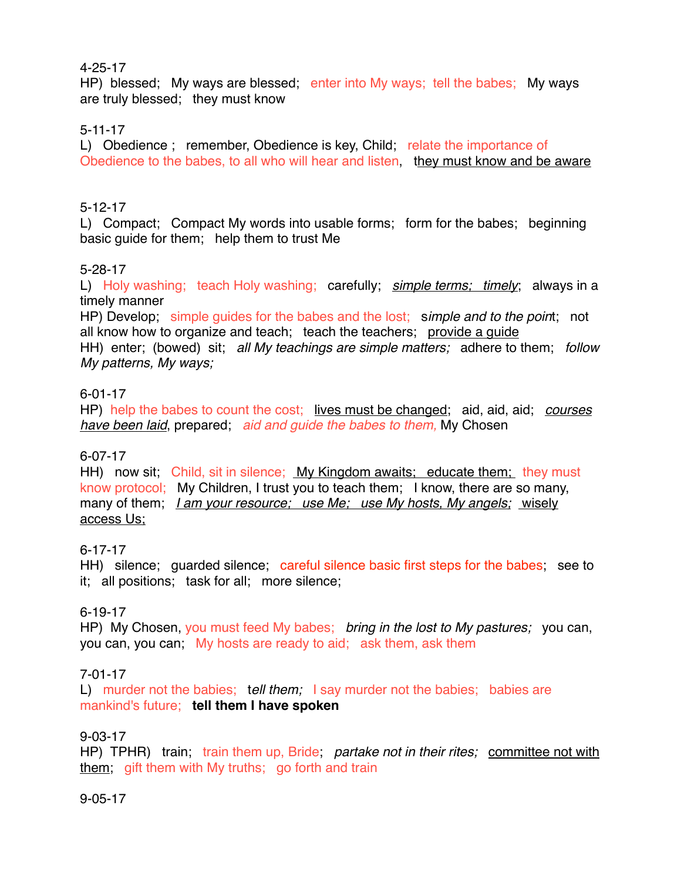#### 4-25-17

HP) blessed; My ways are blessed; enter into My ways; tell the babes; My ways are truly blessed; they must know

# 5-11-17

L) Obedience ; remember, Obedience is key, Child; relate the importance of Obedience to the babes, to all who will hear and listen, they must know and be aware

# 5-12-17

L) Compact; Compact My words into usable forms; form for the babes; beginning basic guide for them; help them to trust Me

# 5-28-17

L) Holy washing; teach Holy washing; carefully; *simple terms; timely*; always in a timely manner

HP) Develop; simple guides for the babes and the lost; s*imple and to the poin*t; not all know how to organize and teach; teach the teachers; provide a guide HH) enter; (bowed) sit; *all My teachings are simple matters;* adhere to them; *follow My patterns, My ways;* 

# 6-01-17

HP) help the babes to count the cost; lives must be changed; aid, aid, aid; *courses have been laid*, prepared; *aid and guide the babes to them,* My Chosen

# 6-07-17

HH) now sit; Child, sit in silence; My Kingdom awaits; educate them; they must know protocol; My Children, I trust you to teach them; I know, there are so many, many of them; *I am your resource; use Me; use My hosts, My angels;* wisely access Us;

# 6-17-17

HH) silence; guarded silence; careful silence basic first steps for the babes; see to it; all positions; task for all; more silence;

# 6-19-17

HP) My Chosen, you must feed My babes; *bring in the lost to My pastures;* you can, you can, you can; My hosts are ready to aid; ask them, ask them

# 7-01-17

L) murder not the babies; t*ell them;* I say murder not the babies; babies are mankind's future; **tell them I have spoken**

# 9-03-17

HP) TPHR) train; train them up, Bride; *partake not in their rites;* committee not with them; gift them with My truths; go forth and train

#### 9-05-17